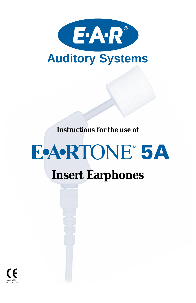

**Instructions for the use of**

# **EARTONE 5A Insert Earphones**

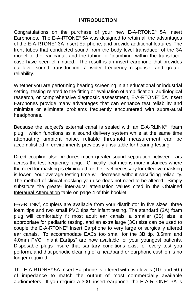#### **INTRODUCTION**

Congratulations on the purchase of your new E-A-RTONE® 5A Insert Earphones. The E-A-RTONE® 5A was designed to retain all the advantages of the E-A-RTONE® 3A Insert Earphone, and provide additional features. The front tubes that conducted sound from the body level transducer of the 3A model to the ear canal, and the tubing or "plumbing" within the transducer case have been eliminated. The result is an insert earphone that provides ear-level sound transduction, a wider frequency response, and greater reliability.

Whether you are performing hearing screening in an educational or industrial setting, testing related to the fitting or evaluation of amplification, audiological research, or comprehensive diagnostic assessment, E-A-RTONE® 5A Insert Earphones provide many advantages that can enhance test reliability and minimize or eliminate problems frequently encountered with supra-aural headphones.

Because the subject's external canal is sealed with an E-A-RLINK® foam plug, which functions as a sound delivery system while at the same time attenuating ambient noise, reliable threshold measurement can be accomplished in environments previously unsuitable for hearing testing.

Direct coupling also produces much greater sound separation between ears across the test frequency range. Clinically, that means more instances where the need for masking is eliminated, or the level necessary for effective masking is lower. Your average testing time will decrease without sacrificing reliability. The method of clinical masking you use does not need to be altered. Simply substitute the greater inter-aural attenuation values cited in the Obtained Interaural Attenuation table on page 4 of this booklet.

E-A-RLINK<sup>®</sup>, couplers are available from your distributor in five sizes, three foam tips and two small PVC tips for infant testing. The standard (3A) foam plug will comfortably fit most adult ear canals, a smaller (3B) size is appropriate for pediatric testing, and an extra large (3C) size can be used to couple the E-A-RTONE® Insert Earphone to very large or surgically altered ear canals. To accommodate EACs too small for the 3B tip, 3.5mm and 4.0mm PVC "Infant Eartips" are now available for your youngest patients. Disposable plugs insure that sanitary conditions exist for every test you perform, and that periodic cleaning of a headband or earphone cushion is no longer required.

The E-A-RTONE® 5A Insert Earphone is offered with two levels (10 and 50 ) of impedance to match the output of most commercially available audiometers. If you require a 300 insert earphone, the E-A-RTONE® 3A is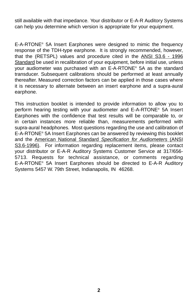still available with that impedance. Your distributor or E-A-R Auditory Systems can help you determine which version is appropriate for your equipment.

E-A-RTONE® 5A Insert Earphones were designed to mimic the frequency response of the TDH-type earphone. It is strongly recommended, however, that the (RETSPL) values and procedure cited in the ANSI S3.6 - 1996 Standard be used in recalibration of your equipment, before initial use, unless your audiometer was purchased with an E-A-RTONE® 5A as the standard transducer. Subsequent calibrations should be performed at least annually thereafter. Measured correction factors can be applied in those cases where it is necessary to alternate between an insert earphone and a supra-aural earphone.

This instruction booklet is intended to provide information to allow you to perform hearing testing with your audiometer and E-A-RTONE® 5A Insert Earphones with the confidence that test results will be comparable to, or in certain instances more reliable than, measurements performed with supra-aural headphones. Most questions regarding the use and calibration of E-A-RTONE® 5A Insert Earphones can be answered by reviewing this booklet and the American National Standard Specification for Audiometers (ANSI S3.6-1996). For information regarding replacement items, please contact your distributor or E-A-R Auditory Systems Customer Service at 317/656- 5713. Requests for technical assistance, or comments regarding E-A-RTONE® 5A Insert Earphones should be directed to E-A-R Auditory Systems 5457 W. 79th Street, Indianapolis, IN 46268.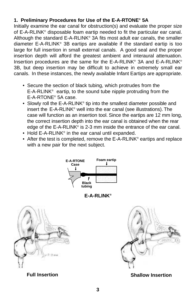# **1. Preliminary Procedures for Use of the E-A-RTONE® 5A**

Initially examine the ear canal for obstruction(s) and evaluate the proper size of E-A-RLINK® disposable foam eartip needed to fit the particular ear canal. Although the standard E-A-RLINK® 3A fits most adult ear canals, the smaller diameter E-A-RLINK® 3B eartips are available if the standard eartip is too large for full insertion in small external canals. A good seal and the proper insertion depth will afford the greatest ambient and interaural attenuation. Insertion procedures are the same for the E-A-RLINK® 3A and E-A-RLINK® 3B, but deep insertion may be difficult to achieve in extremely small ear canals. In these instances, the newly available Infant Eartips are appropriate.

- Secure the section of black tubing, which protrudes from the E-A-RLINK® eartip, to the sound tube nipple protruding from the E-A-RTONE® 5A case.
- Slowly roll the E-A-RLINK<sup>®</sup> tip into the smallest diameter possible and insert the E-A-RLINK® well into the ear canal (see illustrations). The case will function as an insertion tool. Since the eartips are 12 mm long, the correct insertion depth into the ear canal is obtained when the rear edge of the E-A-RLINK® is 2-3 mm inside the entrance of the ear canal.
- Hold E-A-RLINK<sup>®</sup> in the ear canal until expanded.
- After the test is completed, remove the E-A-RLINK<sup>®</sup> eartips and replace with a new pair for the next subject.



**E-A-RLINK®**





#### **Full Insertion Shallow Insertion**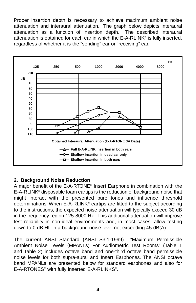Proper insertion depth is necessary to achieve maximum ambient noise attenuation and interaural attenuation. The graph below depicts interaural attenuation as a function of insertion depth. The described interaural attenuation is obtained for each ear in which the E-A-RLINK® is fully inserted, regardless of whether it is the "sending" ear or "receiving" ear.



# **2. Background Noise Reduction**

A major benefit of the E-A-RTONE® Insert Earphone in combination with the E-A-RLINK® disposable foam eartips is the reduction of background noise that might interact with the presented pure tones and influence threshold determinations. When E-A-RLINK® eartips are fitted to the subject according to the instructions, the expected noise attenuation will typically exceed 30 dB in the frequency region 125-8000 Hz. This additional attenuation will improve test reliability in non-ideal environments and, in most cases, allow testing down to 0 dB HL in a background noise level not exceeding 45 dB(A).

The current ANSI Standard (ANSI S3.1-1999) "Maximum Permissible Ambient Noise Levels (MPANLs) For Audiometric Test Rooms" (Table 1 and Table 2) includes octave band and one-third octave band permissible noise levels for both supra-aural and Insert Earphones. The ANSI octave band MPANLs are presented below for standard earphones and also for E-A-RTONES® with fully inserted E-A-RLINKS®.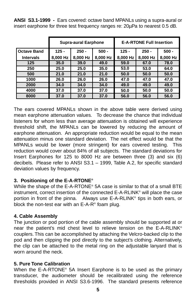|                    | <b>Supra-aural Earphone</b> |          |          | <b>E-A-RTONE Full Insertion</b> |          |          |
|--------------------|-----------------------------|----------|----------|---------------------------------|----------|----------|
| <b>Octave Band</b> | $125 -$                     | $250 -$  | $500 -$  | $125 -$                         | $250 -$  | $500 -$  |
| <b>Intervals</b>   | 8,000 Hz                    | 8.000 Hz | 8,000 Hz | 8,000 Hz                        | 8.000 Hz | 8,000 Hz |
| 125                | 35.0                        | 39.0     | 49.0     | 59.0                            | 67.0     | 78.0     |
| 250                | 25.0                        | 25.0     | 35.0     | 53.0                            | 53.0     | 64.0     |
| 500                | 21.0                        | 21.0     | 21.0     | 50.0                            | 50.0     | 50.0     |
| 1000               | 26.0                        | 26.0     | 26.0     | 47.0                            | 47.0     | 47.0     |
| 2000               | 34.0                        | 34.0     | 34.0     | 49.0                            | 49.0     | 49.0     |
| 4000               | 37.0                        | 37.0     | 37.0     | 50.0                            | 50.0     | 50.0     |
| 8000               | 37.0                        | 37.0     | 37.0     | 56.0                            | 56.0     | 56.0     |

**ANSI S3.1-1999 -** Ears covered: octave band MPANLs using a supra-aural or insert earphone for three test frequency ranges re: 20µPa to nearest 0.5 dB.

The ears covered MPANLs shown in the above table were derived using mean earphone attenuation values. To decrease the chance that individual listeners for whom less than average attenuation is obtained will experience threshold shift, the MPANLs can be lowered by reducing the amount of earphone attenuation. An appropriate reduction would be equal to the mean attenuation minus one standard deviation. The net effect would be that the MPANLs would be lower (more stringent) for ears covered testing. This reduction would cover about 84% of all subjects. The standard deviations for Insert Earphones for 125 to 8000 Hz are between three (3) and six (6) decibels. Please refer to ANSI S3.1 – 1999, Table A.2, for specific standard deviation values by frequency.

# **3. Positioning of the E-A-RTONE®**

While the shape of the E-A-RTONE<sup>®</sup> 5A case is similar to that of a small BTE instrument, correct insertion of the connected E-A-RLINK® will place the case portion in front of the pinna. Always use E-A-RLINK® tips in both ears, or block the non-test ear with an  $E-A-R^*$  foam plug.

# **4. Cable Assembly**

The junction or pod portion of the cable assembly should be supported at or near the patient's mid chest level to relieve tension on the E-A-RLINK® couplers. This can be accomplished by attaching the Velcro-backed clip to the pod and then clipping the pod directly to the subject's clothing. Alternatively, the clip can be attached to the metal ring on the adjustable lanyard that is worn around the neck.

# **5. Pure Tone Calibration**

When the E-A-RTONE® 5A Insert Earphone is to be used as the primary transducer, the audiometer should be recalibrated using the reference thresholds provided in ANSI S3.6-1996. The standard presents reference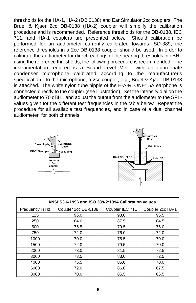thresholds for the HA-1, HA-2 (DB 0138) and Ear Simulator 2cc couplers. The Bruel & Kjaer 2cc DB-0138 (HA-2) coupler will simplify the calibration procedure and is recommended. Reference thresholds for the DB-0138, IEC 711, and HA-1 couplers are presented below. Should calibration be performed for an audiometer currently calibrated towards ISO-389, the reference thresholds in a 2cc DB-0138 coupler should be used. In order to calibrate the audiometer for direct readings of the hearing thresholds in dBHL using the reference thresholds, the following procedure is recommended. The instrumentation required is a Sound Level Meter with an appropriate condenser microphone calibrated according to the manufacturer's specification. To the microphone, a 2cc coupler, e.g., Bruel & Kjaer DB-0138 is attached. The white nylon tube nipple of the E-A-RTONE® 5A earphone is connected directly to the coupler (see illustration). Set the intensity dial on the audiometer to 70 dBHL and adjust the output from the audiometer to the SPLvalues given for the different test frequencies in the table below. Repeat the procedure for all available test frequencies, and in case of a dual channel audiometer, for both channels.





| ANSI S3.6-1996 and ISO 389-2:1994 Calibration Values |                     |                 |                  |  |  |  |
|------------------------------------------------------|---------------------|-----------------|------------------|--|--|--|
| Frequency in Hz                                      | Coupler 2cc DB-0138 | Coupler IEC 711 | Coupler 2cc HA-1 |  |  |  |
| 125                                                  | 96.0                | 98.0            | 96.5             |  |  |  |
| 250                                                  | 84.0                | 87.5            | 84.5             |  |  |  |
| 500                                                  | 75.5                | 79.5            | 76.0             |  |  |  |
| 750                                                  | 72.0                | 76.0            | 72.0             |  |  |  |
| 1000                                                 | 70.0                | 75.5            | 70.0             |  |  |  |
| 1500                                                 | 72.0                | 79.5            | 70.0             |  |  |  |
| 2000                                                 | 73.0                | 81.5            | 72.5             |  |  |  |
| 3000                                                 | 73.5                | 83.0            | 72.5             |  |  |  |
| 4000                                                 | 75.5                | 85.0            | 70.0             |  |  |  |
| 6000                                                 | 72.0                | 86.0            | 67.5             |  |  |  |
| 8000                                                 | 70.0                | 85.5            | 66.5             |  |  |  |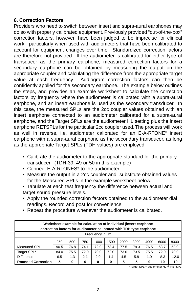#### **6. Correction Factors**

Providers who need to switch between insert and supra-aural earphones may do so with properly calibrated equipment. Previously provided "out-of-the-box" correction factors, however, have been judged to be imprecise for clinical work, particularly when used with audiometers that have been calibrated to account for equipment changes over time. Standardized correction factors are therefore not provided. If the audiometer is calibrated for either type of transducer as the primary earphone, measured correction factors for a secondary earphone can be obtained by measuring the output on the appropriate coupler and calculating the difference from the appropriate target value at each frequency. Audiogram correction factors can then be confidently applied for the secondary earphone. The example below outlines the steps, and provides an example worksheet to calculate the correction factors by frequency where the audiometer is calibrated with a supra-aural earphone, and an insert earphone is used as the secondary transducer. In this case, the measured SPLs are the 2cc coupler values obtained with an insert earphone connected to an audiometer calibrated for a supra-aural earphone, and the Target SPLs are the audiometer HL setting plus the insert earphone RETSPLs for the particular 2cc coupler used. The process will work as well in reverse, i.e. audiometer calibrated for an E-A-RTONE® insert earphone with a supra-aural earphone as the secondary transducer, as long as the appropriate Target SPLs (TDH values) are employed.

- Calibrate the audiometer to the appropriate standard for the primary transducer. (TDH-39, 49 or 50 in this example)
- Connect E-A-RTONES<sup>®</sup> to the audiometer.
- Measure the output in a 2cc coupler and substitute obtained values for the Measured SPLs in the example worksheet below.
- Tabulate at each test frequency the difference between actual and target sound pressure levels.
- Apply the rounded correction factors obtained to the audiometer dial readings. Record and post for convenience.
- Repeat the procedure whenever the audiometer is calibrated.

| Worksheet example for calculation of individual (insert earphone<br>correction factors for audiometer calibrated with TDH type earphone |      |      |      |      |      |      |      |      |        |         |
|-----------------------------------------------------------------------------------------------------------------------------------------|------|------|------|------|------|------|------|------|--------|---------|
| Frequency in Hz                                                                                                                         |      |      |      |      |      |      |      |      |        |         |
|                                                                                                                                         | 250  | 500  | 750  | 1000 | 1500 | 2000 | 3000 | 4000 | 6000   | 8000    |
| <b>Measured SPL</b>                                                                                                                     | 90.5 | 76.8 | 74.1 | 72.0 | 73.4 | 77.5 | 79.3 | 76.5 | 63.7   | 58.0    |
| Target SPL*                                                                                                                             | 84.0 | 75.5 | 72.0 | 70.0 | 72.0 | 73.0 | 73.5 | 75.5 | 72.0   | 70.0    |
| <b>Difference</b>                                                                                                                       | 6.5  | 1.3  | 2.1  | 2.0  | 1.4  | 4.5  | 5.8  | 1.0  | $-8.3$ | $-12.0$ |
| <b>Rounded Correction</b>                                                                                                               | 5    | 0    | 0    | 0    | 0    | 5    | 5    | 0    | $-10$  | $-10$   |

\*Target SPL = audiometer HL + RETSPL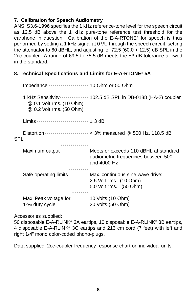#### **7. Calibration for Speech Audiometry**

ANSI S3.6-1996 specifies the 1 kHz reference-tone level for the speech circuit as 12.5 dB above the 1 kHz pure-tone reference test threshold for the earphone in question. Calibration of the E-A-RTONE® for speech is thus performed by setting a 1 kHz signal at 0 VU through the speech circuit, setting the attenuator to 60 dBHL, and adjusting for  $72.5$  (60.0 + 12.5) dB SPL in the 2cc coupler. A range of 69.5 to 75.5 dB meets the ±3 dB tolerance allowed in the standard.

#### **8. Technical Specifications and Limits for E-A-RTONE® 5A**

|     | Impedance  10 Ohm or 50 Ohm                                      |                                                                                                                    |  |  |  |  |
|-----|------------------------------------------------------------------|--------------------------------------------------------------------------------------------------------------------|--|--|--|--|
|     | @ 0.1 Volt rms. (10 Ohm)<br>@ 0.2 Volt rms. (50 Ohm)             | 1 kHz Sensitivity  102.5 dB SPL in DB-0138 (HA-2) coupler                                                          |  |  |  |  |
|     | $Limits \cdots \cdots \cdots \cdots \cdots \cdots \cdots + 3 dB$ |                                                                                                                    |  |  |  |  |
| SPL |                                                                  | Distortion $\cdots$ $\cdots$ $\cdots$ $\cdots$ $\cdots$ $\cdots$ $\cdots$ $\ltimes$ 3% measured @ 500 Hz, 118.5 dB |  |  |  |  |
|     | Maximum output                                                   | Meets or exceeds 110 dBHL at standard<br>audiometric frequencies between 500<br>and $4000$ Hz                      |  |  |  |  |
|     | <br>Safe operating limits                                        | Max. continuous sine wave drive:<br>2.5 Volt rms. (10 Ohm)<br>5.0 Volt rms. (50 Ohm)                               |  |  |  |  |
|     | <br>Max. Peak voltage for<br>1-% duty cycle                      | 10 Volts (10 Ohm)<br>20 Volts (50 Ohm)                                                                             |  |  |  |  |

Accessories supplied:

50 disposable E-A-RLINK® 3A eartips, 10 disposable E-A-RLINK® 3B eartips, 4 disposable E-A-RLINK® 3C eartips and 213 cm cord (7 feet) with left and right 1/4" mono color-coded phono-plugs.

Data supplied: 2cc-coupler frequency response chart on individual units.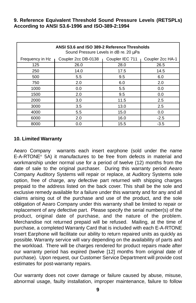#### **9. Reference Equivalent Threshold Sound Pressure Levels (RETSPLs) According to ANSI S3.6-1996 and ISO-389-2:1994**

| ANSI S3.6 and ISO 389-2 Reference Thresholds<br>Sound Pressure Levels in dB re. 20 uPa |                     |                 |                  |  |  |  |
|----------------------------------------------------------------------------------------|---------------------|-----------------|------------------|--|--|--|
| Frequency in Hz                                                                        | Coupler 2cc DB-0138 | Coupler IEC 711 | Coupler 2cc HA-1 |  |  |  |
| 125                                                                                    | 26.0                | 28.0            | 26.5             |  |  |  |
| 250                                                                                    | 14.0                | 17.5            | 14.5             |  |  |  |
| 500                                                                                    | 5.5                 | 9.5             | 6.0              |  |  |  |
| 750                                                                                    | 2.0                 | 6.0             | 2.0              |  |  |  |
| 1000                                                                                   | 0.0                 | 5.5             | 0.0              |  |  |  |
| 1500                                                                                   | 2.0                 | 9.5             | 0.0              |  |  |  |
| 2000                                                                                   | 3.0                 | 11.5            | 2.5              |  |  |  |
| 3000                                                                                   | 3.5                 | 13.0            | 2.5              |  |  |  |
| 4000                                                                                   | 5.5                 | 15.0            | 0.0              |  |  |  |
| 6000                                                                                   | 2.0                 | 16.0            | $-2.5$           |  |  |  |
| 8000                                                                                   | 0.0                 | 15.5            | $-3.5$           |  |  |  |

# **10. Limited Warranty**

Aearo Company warrants each insert earphone (sold under the name E-A-RTONE® 5A) it manufactures to be free from defects in material and workmanship under normal use for a period of twelve (12) months from the date of sale to the original purchaser. During this warranty period Aearo Company Auditory Systems will repair or replace, at Auditory Systems sole option, free of charge, any defective part returned with shipping charges prepaid to the address listed on the back cover. This shall be the sole and exclusive remedy available for a failure under this warranty and for any and all claims arising out of the purchase and use of the product, and the sole obligation of Aearo Company under this warranty shall be limited to repair or replacement of any defective part. Please specify the serial number(s) of the product, original date of purchase, and the nature of the problem. Merchandise not returned prepaid will be refused. Mailing, at the time of purchase, a completed Warranty Card that is included with each E-A-RTONE Insert Earphone will facilitate our ability to return repaired units as quickly as possible. Warranty service will vary depending on the availability of parts and the workload. There will be charges rendered for product repairs made after our warranty period has expired (twelve [12] months from original date of purchase). Upon request, our Customer Service Department will provide cost estimates for post-warranty repairs.

Our warranty does not cover damage or failure caused by abuse, misuse, abnormal usage, faulty installation, improper maintenance, failure to follow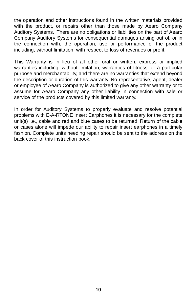the operation and other instructions found in the written materials provided with the product, or repairs other than those made by Aearo Company Auditory Systems. There are no obligations or liabilities on the part of Aearo Company Auditory Systems for consequential damages arising out of, or in the connection with, the operation, use or performance of the product including, without limitation, with respect to loss of revenues or profit.

This Warranty is in lieu of all other oral or written, express or implied warranties including, without limitation, warranties of fitness for a particular purpose and merchantability, and there are no warranties that extend beyond the description or duration of this warranty. No representative, agent, dealer or employee of Aearo Company is authorized to give any other warranty or to assume for Aearo Company any other liability in connection with sale or service of the products covered by this limited warranty.

In order for Auditory Systems to properly evaluate and resolve potential problems with E-A-RTONE Insert Earphones it is necessary for the complete unit(s) i.e., cable and red and blue cases to be returned. Return of the cable or cases alone will impede our ability to repair insert earphones in a timely fashion. Complete units needing repair should be sent to the address on the back cover of this instruction book.